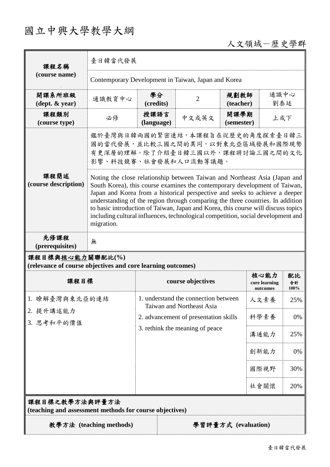## 國立中興大學教學大綱

## 人文領域-歷史學群

| 課程名稱<br>(course name)                                                           | 臺日韓當代發展                                                                                                                                                                                                                                                                                                                                                                                                                                                                                                          |                                                                                                                                               |                   |                                  |                                   |                  |
|---------------------------------------------------------------------------------|------------------------------------------------------------------------------------------------------------------------------------------------------------------------------------------------------------------------------------------------------------------------------------------------------------------------------------------------------------------------------------------------------------------------------------------------------------------------------------------------------------------|-----------------------------------------------------------------------------------------------------------------------------------------------|-------------------|----------------------------------|-----------------------------------|------------------|
|                                                                                 | Contemporary Development in Taiwan, Japan and Korea                                                                                                                                                                                                                                                                                                                                                                                                                                                              |                                                                                                                                               |                   |                                  |                                   |                  |
| 開課系所班級<br>$(\text{dept.} \& \text{ year})$                                      | 通識教育中心                                                                                                                                                                                                                                                                                                                                                                                                                                                                                                           | 學分<br>(credits)                                                                                                                               | $\overline{2}$    | 通識中心<br>規劃教師<br>劉泰廷<br>(teacher) |                                   |                  |
| 課程類別<br>(course type)                                                           | 必修                                                                                                                                                                                                                                                                                                                                                                                                                                                                                                               | 授課語言<br>(language)                                                                                                                            | 中文或英文             | 開課學期<br>上或下<br>(semester)        |                                   |                  |
|                                                                                 | 鑑於臺灣與日韓兩國的緊密連結,本課程旨在從歷史的角度探索臺日韓三<br>國的當代發展,並比較三國之間的異同,以對東北亞區域發展和國際現勢<br>有更深層的理解。除了介紹臺日韓三國以外,課程將討論三國之間的文化<br>影響、科技競賽、社會發展和人口流動等議題。                                                                                                                                                                                                                                                                                                                                                                                |                                                                                                                                               |                   |                                  |                                   |                  |
| 課程簡述<br>(course description)                                                    | Noting the close relationship between Taiwan and Northeast Asia (Japan and<br>South Korea), this course examines the contemporary development of Taiwan,<br>Japan and Korea from a historical perspective and seeks to achieve a deeper<br>understanding of the region through comparing the three countries. In addition<br>to basic introduction of Taiwan, Japan and Korea, this course will discuss topics<br>including cultural influences, technological competition, social development and<br>migration. |                                                                                                                                               |                   |                                  |                                   |                  |
| 先修課程<br>(prerequisites)                                                         | 無                                                                                                                                                                                                                                                                                                                                                                                                                                                                                                                |                                                                                                                                               |                   |                                  |                                   |                  |
| 課程目標與核心能力關聯配比(%)<br>(relevance of course objectives and core learning outcomes) |                                                                                                                                                                                                                                                                                                                                                                                                                                                                                                                  |                                                                                                                                               |                   |                                  |                                   |                  |
| 課程目標                                                                            |                                                                                                                                                                                                                                                                                                                                                                                                                                                                                                                  |                                                                                                                                               | course objectives |                                  | 核心能力<br>core learning<br>outcomes | 配比<br>合計<br>100% |
| 1. 瞭解臺灣與東北亞的連結<br>2. 提升講述能力<br>3. 思考和平的價值                                       |                                                                                                                                                                                                                                                                                                                                                                                                                                                                                                                  | 1. understand the connection between<br>Taiwan and Northeast Asia<br>2. advancement of presentation skills<br>3. rethink the meaning of peace |                   |                                  | 人文素養                              | 25%              |
|                                                                                 |                                                                                                                                                                                                                                                                                                                                                                                                                                                                                                                  |                                                                                                                                               |                   |                                  | 科學素養                              | 0%               |
|                                                                                 |                                                                                                                                                                                                                                                                                                                                                                                                                                                                                                                  |                                                                                                                                               |                   |                                  | 溝通能力                              | 25%              |
|                                                                                 |                                                                                                                                                                                                                                                                                                                                                                                                                                                                                                                  |                                                                                                                                               |                   |                                  | 創新能力                              | 0%               |
|                                                                                 |                                                                                                                                                                                                                                                                                                                                                                                                                                                                                                                  |                                                                                                                                               |                   |                                  | 國際視野                              | 30%              |
|                                                                                 |                                                                                                                                                                                                                                                                                                                                                                                                                                                                                                                  |                                                                                                                                               |                   |                                  | 社會關懷                              | 20%              |
| 課程目標之教學方法與評量方法<br>(teaching and assessment methods for course objectives)       |                                                                                                                                                                                                                                                                                                                                                                                                                                                                                                                  |                                                                                                                                               |                   |                                  |                                   |                  |
| 教學方法 (teaching methods)<br>學習評量方式 (evaluation)                                  |                                                                                                                                                                                                                                                                                                                                                                                                                                                                                                                  |                                                                                                                                               |                   |                                  |                                   |                  |